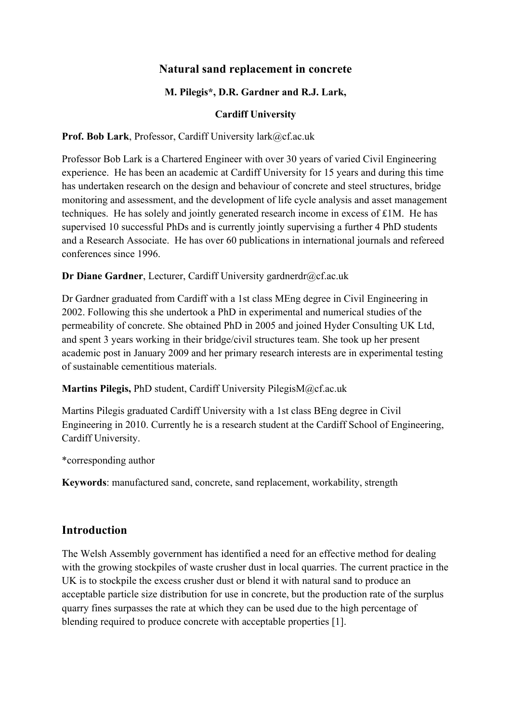# **Natural sand replacement in concrete**

## **M. Pilegis\*, D.R. Gardner and R.J. Lark,**

#### **Cardiff University**

Prof. Bob Lark, Professor, Cardiff University lark@cf.ac.uk

Professor Bob Lark is a Chartered Engineer with over 30 years of varied Civil Engineering experience. He has been an academic at Cardiff University for 15 years and during this time has undertaken research on the design and behaviour of concrete and steel structures, bridge monitoring and assessment, and the development of life cycle analysis and asset management techniques. He has solely and jointly generated research income in excess of £1M. He has supervised 10 successful PhDs and is currently jointly supervising a further 4 PhD students and a Research Associate. He has over 60 publications in international journals and refereed conferences since 1996.

#### **Dr Diane Gardner**, Lecturer, Cardiff University gardnerdr@cf.ac.uk

Dr Gardner graduated from Cardiff with a 1st class MEng degree in Civil Engineering in 2002. Following this she undertook a PhD in experimental and numerical studies of the permeability of concrete. She obtained PhD in 2005 and joined Hyder Consulting UK Ltd, and spent 3 years working in their bridge/civil structures team. She took up her present academic post in January 2009 and her primary research interests are in experimental testing of sustainable cementitious materials.

#### **Martins Pilegis,** PhD student, Cardiff University PilegisM@cf.ac.uk

Martins Pilegis graduated Cardiff University with a 1st class BEng degree in Civil Engineering in 2010. Currently he is a research student at the Cardiff School of Engineering, Cardiff University.

#### \*corresponding author

**Keywords**: manufactured sand, concrete, sand replacement, workability, strength

## **Introduction**

The Welsh Assembly government has identified a need for an effective method for dealing with the growing stockpiles of waste crusher dust in local quarries. The current practice in the UK is to stockpile the excess crusher dust or blend it with natural sand to produce an acceptable particle size distribution for use in concrete, but the production rate of the surplus quarry fines surpasses the rate at which they can be used due to the high percentage of blending required to produce concrete with acceptable properties [1].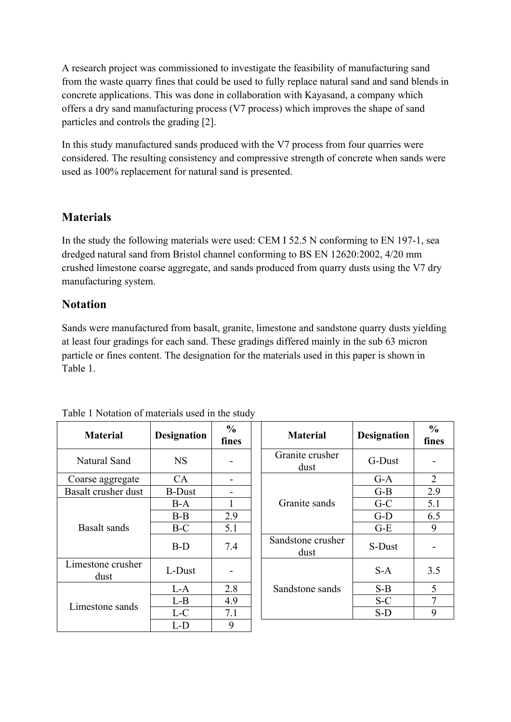A research project was commissioned to investigate the feasibility of manufacturing sand from the waste quarry fines that could be used to fully replace natural sand and sand blends in concrete applications. This was done in collaboration with Kayasand, a company which offers a dry sand manufacturing process (V7 process) which improves the shape of sand particles and controls the grading [2].

In this study manufactured sands produced with the V7 process from four quarries were considered. The resulting consistency and compressive strength of concrete when sands were used as 100% replacement for natural sand is presented.

# **Materials**

In the study the following materials were used: CEM I 52.5 N conforming to EN 197-1, sea dredged natural sand from Bristol channel conforming to BS EN 12620:2002, 4/20 mm crushed limestone coarse aggregate, and sands produced from quarry dusts using the V7 dry manufacturing system.

# **Notation**

Sands were manufactured from basalt, granite, limestone and sandstone quarry dusts yielding at least four gradings for each sand. These gradings differed mainly in the sub 63 micron particle or fines content. The designation for the materials used in this paper is shown in Table 1.

| <b>Material</b>           | <b>Designation</b> | $\frac{0}{0}$<br>fines | <b>Material</b>           | <b>Designation</b> | $\frac{0}{0}$<br>fines |
|---------------------------|--------------------|------------------------|---------------------------|--------------------|------------------------|
| Natural Sand              | <b>NS</b>          |                        | Granite crusher<br>dust   | G-Dust             |                        |
| Coarse aggregate          | <b>CA</b>          |                        |                           | $G-A$              | $\overline{2}$         |
| Basalt crusher dust       | <b>B-Dust</b>      |                        |                           | $G-B$              | 2.9                    |
| Basalt sands              | $B-A$              |                        | Granite sands             | $G-C$              | 5.1                    |
|                           | $B-B$              | 2.9                    |                           | $G-D$              | 6.5                    |
|                           | $B-C$              | 5.1                    |                           | $G-E$              | 9                      |
|                           | $B-D$              | 7.4                    | Sandstone crusher<br>dust | S-Dust             |                        |
| Limestone crusher<br>dust | L-Dust             |                        |                           | $S-A$              | 3.5                    |
| Limestone sands           | L-A                | 2.8                    | Sandstone sands           | $S-B$              | 5                      |
|                           | $L-B$              | 4.9                    |                           | $S-C$              | 7                      |
|                           | $L-C$              | 7.1                    |                           | $S-D$              | 9                      |
|                           | L-D                | 9                      |                           |                    |                        |

| Table 1 Notation of materials used in the study |
|-------------------------------------------------|
|-------------------------------------------------|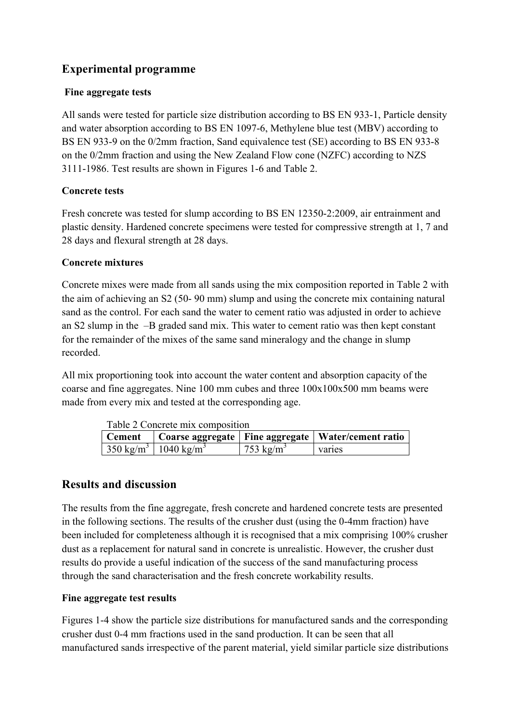# **Experimental programme**

#### **Fine aggregate tests**

All sands were tested for particle size distribution according to BS EN 933-1, Particle density and water absorption according to BS EN 1097-6, Methylene blue test (MBV) according to BS EN 933-9 on the 0/2mm fraction, Sand equivalence test (SE) according to BS EN 933-8 on the 0/2mm fraction and using the New Zealand Flow cone (NZFC) according to NZS 3111-1986. Test results are shown in Figures 1-6 and Table 2.

## **Concrete tests**

Fresh concrete was tested for slump according to BS EN 12350-2:2009, air entrainment and plastic density. Hardened concrete specimens were tested for compressive strength at 1, 7 and 28 days and flexural strength at 28 days.

#### **Concrete mixtures**

Concrete mixes were made from all sands using the mix composition reported in Table 2 with the aim of achieving an S2 (50- 90 mm) slump and using the concrete mix containing natural sand as the control. For each sand the water to cement ratio was adjusted in order to achieve an S2 slump in the –B graded sand mix. This water to cement ratio was then kept constant for the remainder of the mixes of the same sand mineralogy and the change in slump recorded.

All mix proportioning took into account the water content and absorption capacity of the coarse and fine aggregates. Nine 100 mm cubes and three 100x100x500 mm beams were made from every mix and tested at the corresponding age.

| Table 2 Concrete mix composition |                                               |                       |                                                                 |  |  |
|----------------------------------|-----------------------------------------------|-----------------------|-----------------------------------------------------------------|--|--|
|                                  |                                               |                       | Cement   Coarse aggregate   Fine aggregate   Water/cement ratio |  |  |
|                                  | $350 \text{ kg/m}^3$   1040 kg/m <sup>3</sup> | 753 kg/m <sup>3</sup> | varies                                                          |  |  |

# **Results and discussion**

The results from the fine aggregate, fresh concrete and hardened concrete tests are presented in the following sections. The results of the crusher dust (using the 0-4mm fraction) have been included for completeness although it is recognised that a mix comprising 100% crusher dust as a replacement for natural sand in concrete is unrealistic. However, the crusher dust results do provide a useful indication of the success of the sand manufacturing process through the sand characterisation and the fresh concrete workability results.

## **Fine aggregate test results**

Figures 1-4 show the particle size distributions for manufactured sands and the corresponding crusher dust 0-4 mm fractions used in the sand production. It can be seen that all manufactured sands irrespective of the parent material, yield similar particle size distributions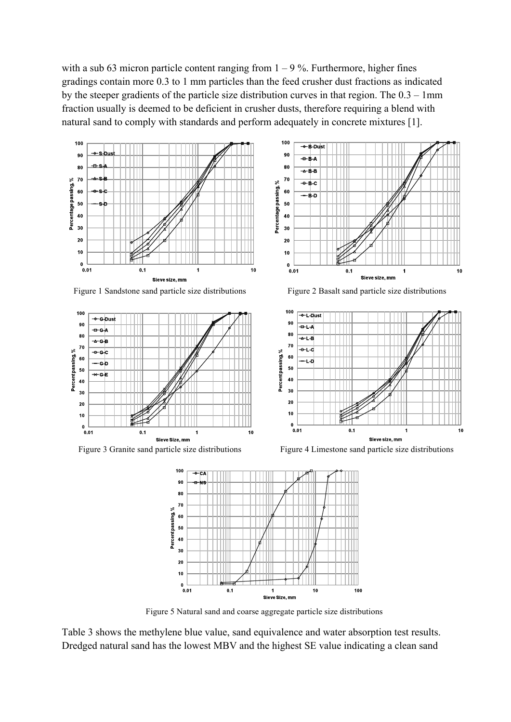with a sub 63 micron particle content ranging from  $1 - 9\%$ . Furthermore, higher fines gradings contain more 0.3 to 1 mm particles than the feed crusher dust fractions as indicated by the steeper gradients of the particle size distribution curves in that region. The 0.3 – 1mm fraction usually is deemed to be deficient in crusher dusts, therefore requiring a blend with natural sand to comply with standards and perform adequately in concrete mixtures [1].



Figure 1 Sandstone sand particle size distributions Figure 2 Basalt sand particle size distributions







Figure 3 Granite sand particle size distributions Figure 4 Limestone sand particle size distributions



Figure 5 Natural sand and coarse aggregate particle size distributions

Table 3 shows the methylene blue value, sand equivalence and water absorption test results. Dredged natural sand has the lowest MBV and the highest SE value indicating a clean sand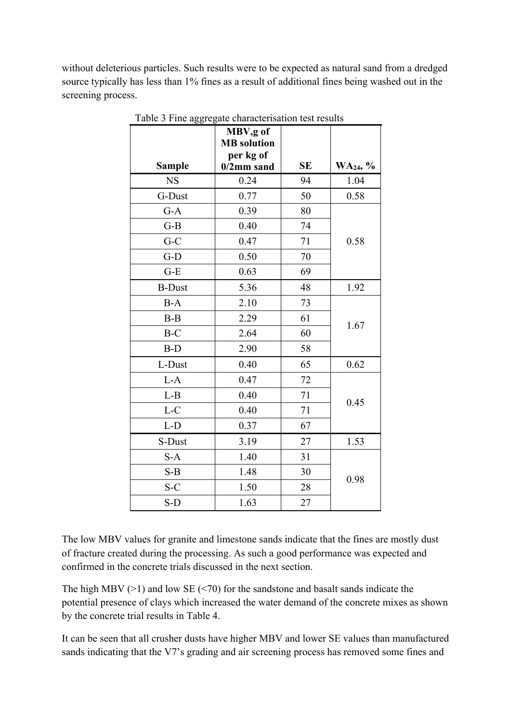without deleterious particles. Such results were to be expected as natural sand from a dredged source typically has less than 1% fines as a result of additional fines being washed out in the screening process.

|               | MBV,g of<br><b>MB</b> solution<br>per kg of |           |                      |  |
|---------------|---------------------------------------------|-----------|----------------------|--|
| <b>Sample</b> | $0/2$ mm sand                               | <b>SE</b> | WA <sub>24</sub> , % |  |
| <b>NS</b>     | 0.24                                        | 94        | 1.04                 |  |
| G-Dust        | 0.77                                        | 50        | 0.58                 |  |
| $G-A$         | 0.39                                        | 80        |                      |  |
| $G-B$         | 0.40                                        | 74        |                      |  |
| $G-C$         | 0.47                                        | 71        | 0.58                 |  |
| $G-D$         | 0.50                                        | 70        |                      |  |
| $G-E$         | 0.63                                        | 69        |                      |  |
| <b>B-Dust</b> | 5.36                                        | 48        | 1.92                 |  |
| $B-A$         | 2.10                                        | 73        |                      |  |
| $B-B$         | 2.29                                        | 61        | 1.67                 |  |
| $B-C$         | 2.64                                        | 60        |                      |  |
| B-D           | 2.90                                        | 58        |                      |  |
| L-Dust        | 0.40                                        | 65        | 0.62                 |  |
| $L-A$         | 0.47                                        | 72        |                      |  |
| $L-B$         | 0.40                                        | 71        |                      |  |
| $L-C$         | 0.40                                        | 71        | 0.45                 |  |
| $L-D$         | 0.37                                        | 67        |                      |  |
| S-Dust        | 3.19                                        | 27        | 1.53                 |  |
| $S-A$         | 1.40                                        | 31        |                      |  |
| $S-B$         | 1.48                                        | 30        | 0.98                 |  |
| $S-C$         | 1.50                                        | 28        |                      |  |
| $S-D$         | 1.63                                        | 27        |                      |  |

Table 3 Fine aggregate characterisation test results

The low MBV values for granite and limestone sands indicate that the fines are mostly dust of fracture created during the processing. As such a good performance was expected and confirmed in the concrete trials discussed in the next section.

The high MBV  $(>1)$  and low SE  $(<1>70$ ) for the sandstone and basalt sands indicate the potential presence of clays which increased the water demand of the concrete mixes as shown by the concrete trial results in Table 4.

It can be seen that all crusher dusts have higher MBV and lower SE values than manufactured sands indicating that the V7's grading and air screening process has removed some fines and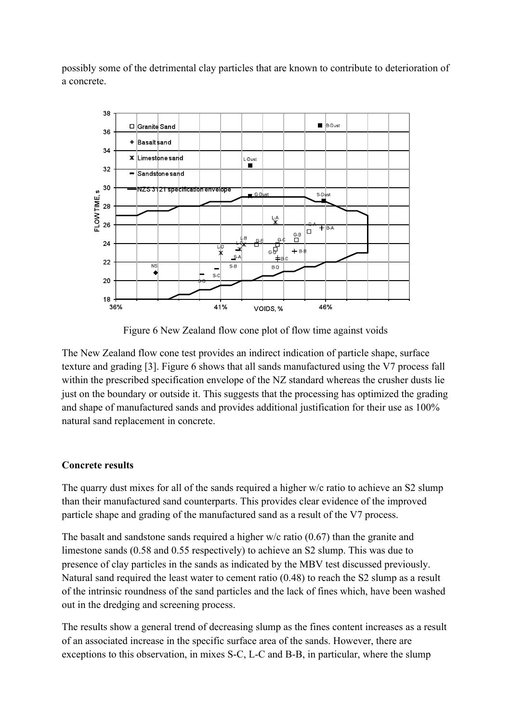possibly some of the detrimental clay particles that are known to contribute to deterioration of a concrete.



Figure 6 New Zealand flow cone plot of flow time against voids

The New Zealand flow cone test provides an indirect indication of particle shape, surface texture and grading [3]. Figure 6 shows that all sands manufactured using the V7 process fall within the prescribed specification envelope of the NZ standard whereas the crusher dusts lie just on the boundary or outside it. This suggests that the processing has optimized the grading and shape of manufactured sands and provides additional justification for their use as 100% natural sand replacement in concrete.

#### **Concrete results**

The quarry dust mixes for all of the sands required a higher w/c ratio to achieve an S2 slump than their manufactured sand counterparts. This provides clear evidence of the improved particle shape and grading of the manufactured sand as a result of the V7 process.

The basalt and sandstone sands required a higher w/c ratio (0.67) than the granite and limestone sands (0.58 and 0.55 respectively) to achieve an S2 slump. This was due to presence of clay particles in the sands as indicated by the MBV test discussed previously. Natural sand required the least water to cement ratio (0.48) to reach the S2 slump as a result of the intrinsic roundness of the sand particles and the lack of fines which, have been washed out in the dredging and screening process.

The results show a general trend of decreasing slump as the fines content increases as a result of an associated increase in the specific surface area of the sands. However, there are exceptions to this observation, in mixes S-C, L-C and B-B, in particular, where the slump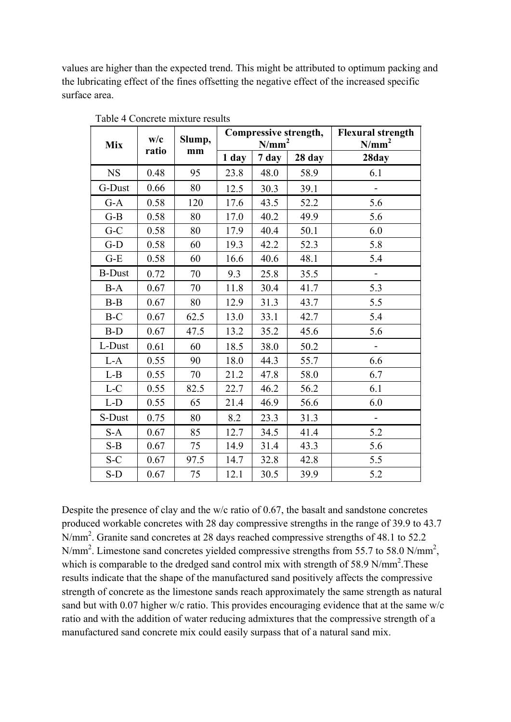values are higher than the expected trend. This might be attributed to optimum packing and the lubricating effect of the fines offsetting the negative effect of the increased specific surface area.

| <b>Mix</b>    | w/c   | Slump, |       | Compressive strength,<br>N/mm <sup>2</sup> | <b>Flexural strength</b><br>$N/mm^2$ |                          |
|---------------|-------|--------|-------|--------------------------------------------|--------------------------------------|--------------------------|
|               | ratio | mm     | 1 day | 7 day                                      | 28 day                               | 28day                    |
| <b>NS</b>     | 0.48  | 95     | 23.8  | 48.0                                       | 58.9                                 | 6.1                      |
| G-Dust        | 0.66  | 80     | 12.5  | 30.3                                       | 39.1                                 |                          |
| $G-A$         | 0.58  | 120    | 17.6  | 43.5                                       | 52.2                                 | 5.6                      |
| $G-B$         | 0.58  | 80     | 17.0  | 40.2                                       | 49.9                                 | 5.6                      |
| $G-C$         | 0.58  | 80     | 17.9  | 40.4                                       | 50.1                                 | 6.0                      |
| $G-D$         | 0.58  | 60     | 19.3  | 42.2                                       | 52.3                                 | 5.8                      |
| $G-E$         | 0.58  | 60     | 16.6  | 40.6                                       | 48.1                                 | 5.4                      |
| <b>B-Dust</b> | 0.72  | 70     | 9.3   | 25.8                                       | 35.5                                 | $\blacksquare$           |
| $B-A$         | 0.67  | 70     | 11.8  | 30.4                                       | 41.7                                 | 5.3                      |
| $B-B$         | 0.67  | 80     | 12.9  | 31.3                                       | 43.7                                 | 5.5                      |
| $B-C$         | 0.67  | 62.5   | 13.0  | 33.1                                       | 42.7                                 | 5.4                      |
| $B-D$         | 0.67  | 47.5   | 13.2  | 35.2                                       | 45.6                                 | 5.6                      |
| L-Dust        | 0.61  | 60     | 18.5  | 38.0                                       | 50.2                                 | $\overline{a}$           |
| $L-A$         | 0.55  | 90     | 18.0  | 44.3                                       | 55.7                                 | 6.6                      |
| $L-B$         | 0.55  | 70     | 21.2  | 47.8                                       | 58.0                                 | 6.7                      |
| L-C           | 0.55  | 82.5   | 22.7  | 46.2                                       | 56.2                                 | 6.1                      |
| $L-D$         | 0.55  | 65     | 21.4  | 46.9                                       | 56.6                                 | 6.0                      |
| S-Dust        | 0.75  | 80     | 8.2   | 23.3                                       | 31.3                                 | $\overline{\phantom{a}}$ |
| $S-A$         | 0.67  | 85     | 12.7  | 34.5                                       | 41.4                                 | 5.2                      |
| $S-B$         | 0.67  | 75     | 14.9  | 31.4                                       | 43.3                                 | 5.6                      |
| $S-C$         | 0.67  | 97.5   | 14.7  | 32.8                                       | 42.8                                 | 5.5                      |
| $S-D$         | 0.67  | 75     | 12.1  | 30.5                                       | 39.9                                 | 5.2                      |

Table 4 Concrete mixture results

Despite the presence of clay and the w/c ratio of 0.67, the basalt and sandstone concretes produced workable concretes with 28 day compressive strengths in the range of 39.9 to 43.7 N/mm<sup>2</sup>. Granite sand concretes at 28 days reached compressive strengths of 48.1 to 52.2 N/mm<sup>2</sup>. Limestone sand concretes yielded compressive strengths from 55.7 to 58.0 N/mm<sup>2</sup>, which is comparable to the dredged sand control mix with strength of 58.9 N/mm<sup>2</sup>. These results indicate that the shape of the manufactured sand positively affects the compressive strength of concrete as the limestone sands reach approximately the same strength as natural sand but with 0.07 higher w/c ratio. This provides encouraging evidence that at the same w/c ratio and with the addition of water reducing admixtures that the compressive strength of a manufactured sand concrete mix could easily surpass that of a natural sand mix.